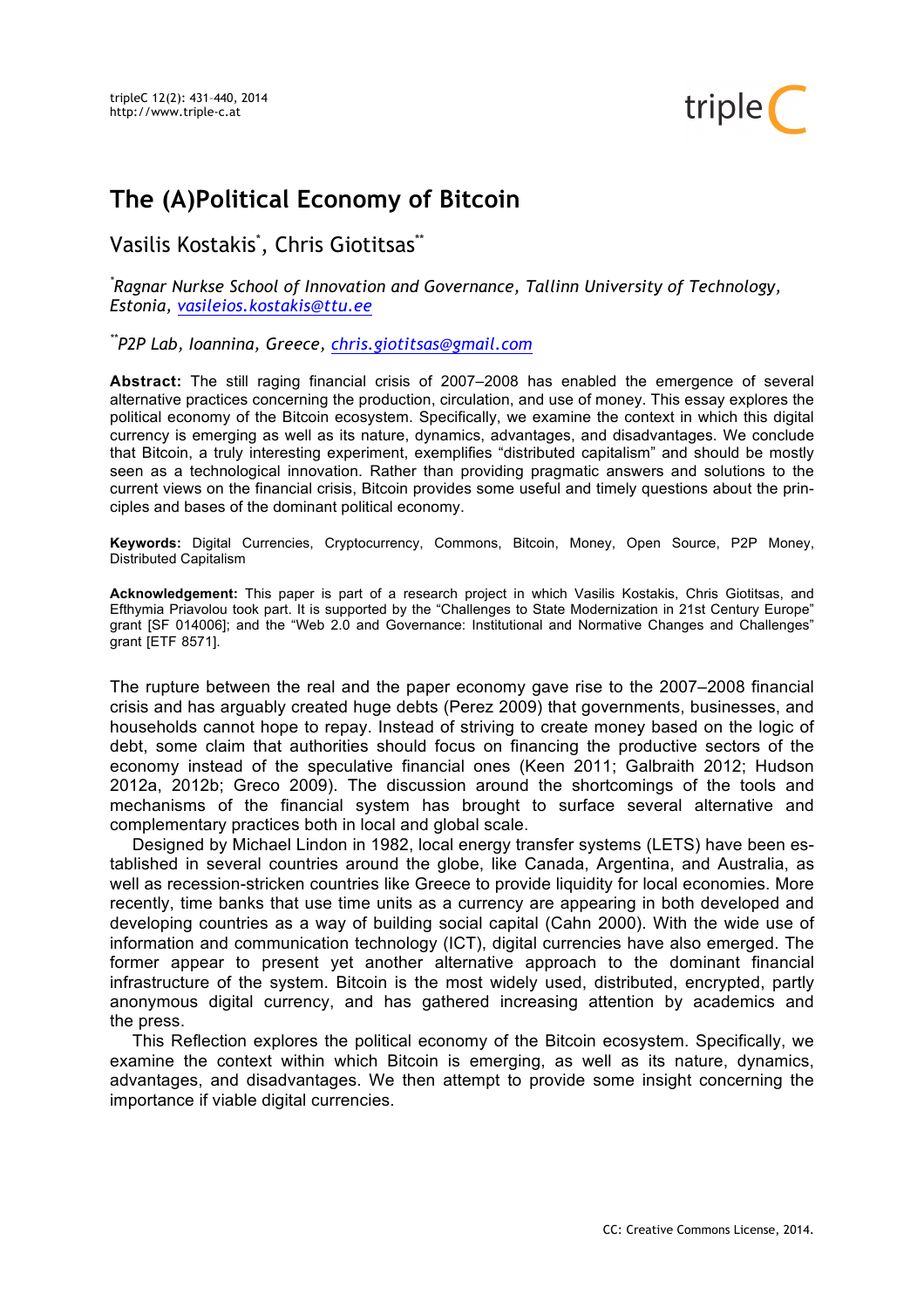

# **The (A)Political Economy of Bitcoin**

Vasilis Kostakis', Chris Giotitsas<sup>\*\*</sup>

*\* Ragnar Nurkse School of Innovation and Governance, Tallinn University of Technology, Estonia, vasileios.kostakis@ttu.ee*

*\*\*P2P Lab, Ioannina, Greece, chris.giotitsas@gmail.com*

**Abstract:** The still raging financial crisis of 2007–2008 has enabled the emergence of several alternative practices concerning the production, circulation, and use of money. This essay explores the political economy of the Bitcoin ecosystem. Specifically, we examine the context in which this digital currency is emerging as well as its nature, dynamics, advantages, and disadvantages. We conclude that Bitcoin, a truly interesting experiment, exemplifies "distributed capitalism" and should be mostly seen as a technological innovation. Rather than providing pragmatic answers and solutions to the current views on the financial crisis, Bitcoin provides some useful and timely questions about the principles and bases of the dominant political economy.

**Keywords:** Digital Currencies, Cryptocurrency, Commons, Bitcoin, Money, Open Source, P2P Money, Distributed Capitalism

**Acknowledgement:** This paper is part of a research project in which Vasilis Kostakis, Chris Giotitsas, and Efthymia Priavolou took part. It is supported by the "Challenges to State Modernization in 21st Century Europe" grant [SF 014006]; and the "Web 2.0 and Governance: Institutional and Normative Changes and Challenges" grant [ETF 8571].

The rupture between the real and the paper economy gave rise to the 2007–2008 financial crisis and has arguably created huge debts (Perez 2009) that governments, businesses, and households cannot hope to repay. Instead of striving to create money based on the logic of debt, some claim that authorities should focus on financing the productive sectors of the economy instead of the speculative financial ones (Keen 2011; Galbraith 2012; Hudson 2012a, 2012b; Greco 2009). The discussion around the shortcomings of the tools and mechanisms of the financial system has brought to surface several alternative and complementary practices both in local and global scale.

Designed by Michael Lindon in 1982, local energy transfer systems (LETS) have been established in several countries around the globe, like Canada, Argentina, and Australia, as well as recession-stricken countries like Greece to provide liquidity for local economies. More recently, time banks that use time units as a currency are appearing in both developed and developing countries as a way of building social capital (Cahn 2000). With the wide use of information and communication technology (ICT), digital currencies have also emerged. The former appear to present yet another alternative approach to the dominant financial infrastructure of the system. Bitcoin is the most widely used, distributed, encrypted, partly anonymous digital currency, and has gathered increasing attention by academics and the press.

This Reflection explores the political economy of the Bitcoin ecosystem. Specifically, we examine the context within which Bitcoin is emerging, as well as its nature, dynamics, advantages, and disadvantages. We then attempt to provide some insight concerning the importance if viable digital currencies.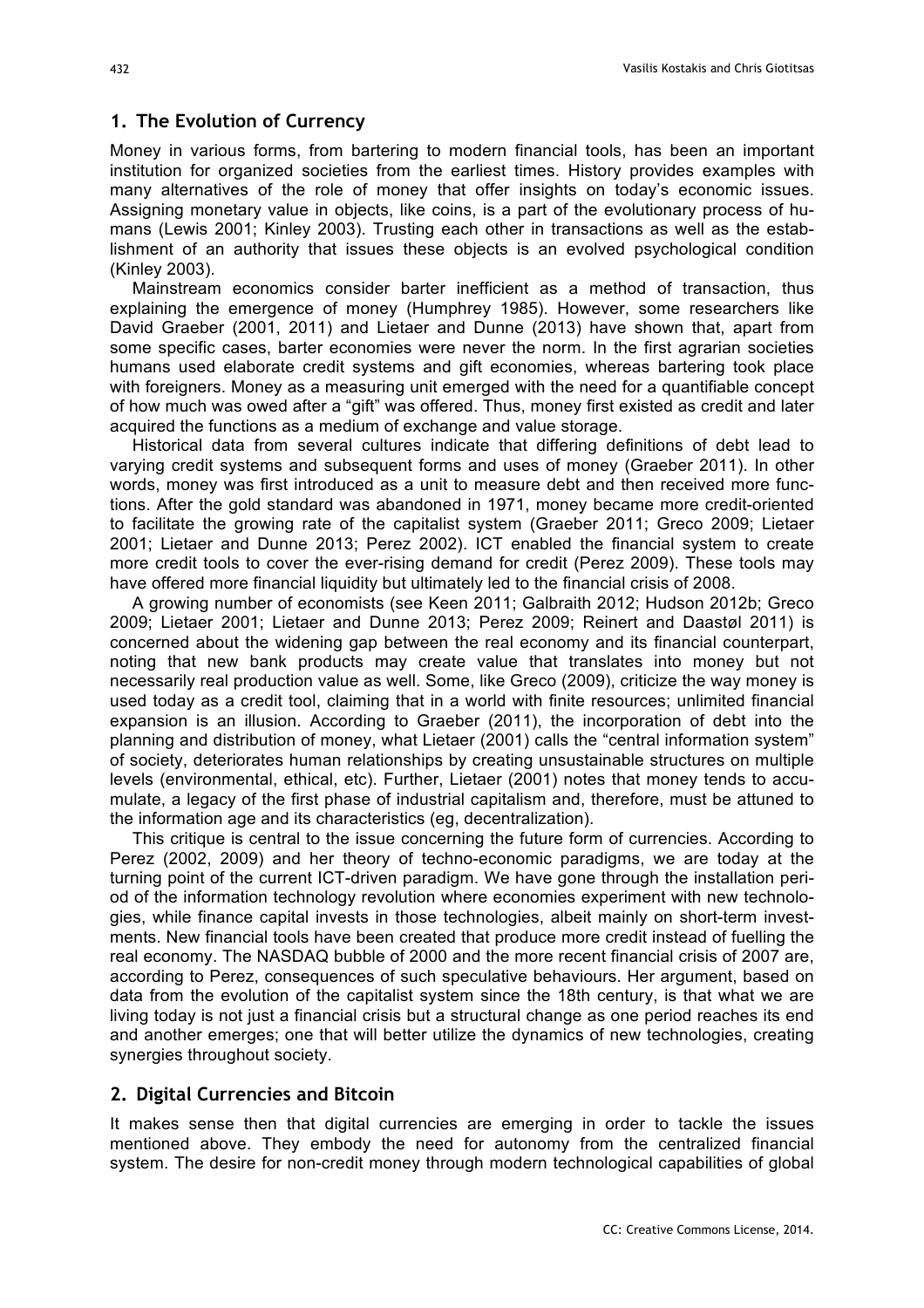## **1. The Evolution of Currency**

Money in various forms, from bartering to modern financial tools, has been an important institution for organized societies from the earliest times. History provides examples with many alternatives of the role of money that offer insights on today's economic issues. Assigning monetary value in objects, like coins, is a part of the evolutionary process of humans (Lewis 2001; Kinley 2003). Trusting each other in transactions as well as the establishment of an authority that issues these objects is an evolved psychological condition (Kinley 2003).

Mainstream economics consider barter inefficient as a method of transaction, thus explaining the emergence of money (Humphrey 1985). However, some researchers like David Graeber (2001, 2011) and Lietaer and Dunne (2013) have shown that, apart from some specific cases, barter economies were never the norm. In the first agrarian societies humans used elaborate credit systems and gift economies, whereas bartering took place with foreigners. Money as a measuring unit emerged with the need for a quantifiable concept of how much was owed after a "gift" was offered. Thus, money first existed as credit and later acquired the functions as a medium of exchange and value storage.

Historical data from several cultures indicate that differing definitions of debt lead to varying credit systems and subsequent forms and uses of money (Graeber 2011). In other words, money was first introduced as a unit to measure debt and then received more functions. After the gold standard was abandoned in 1971, money became more credit-oriented to facilitate the growing rate of the capitalist system (Graeber 2011; Greco 2009; Lietaer 2001; Lietaer and Dunne 2013; Perez 2002). ICT enabled the financial system to create more credit tools to cover the ever-rising demand for credit (Perez 2009). These tools may have offered more financial liquidity but ultimately led to the financial crisis of 2008.

A growing number of economists (see Keen 2011; Galbraith 2012; Hudson 2012b; Greco 2009; Lietaer 2001; Lietaer and Dunne 2013; Perez 2009; Reinert and Daastøl 2011) is concerned about the widening gap between the real economy and its financial counterpart, noting that new bank products may create value that translates into money but not necessarily real production value as well. Some, like Greco (2009), criticize the way money is used today as a credit tool, claiming that in a world with finite resources; unlimited financial expansion is an illusion. According to Graeber (2011), the incorporation of debt into the planning and distribution of money, what Lietaer (2001) calls the "central information system" of society, deteriorates human relationships by creating unsustainable structures on multiple levels (environmental, ethical, etc). Further, Lietaer (2001) notes that money tends to accumulate, a legacy of the first phase of industrial capitalism and, therefore, must be attuned to the information age and its characteristics (eg, decentralization).

This critique is central to the issue concerning the future form of currencies. According to Perez (2002, 2009) and her theory of techno-economic paradigms, we are today at the turning point of the current ICT-driven paradigm. We have gone through the installation period of the information technology revolution where economies experiment with new technologies, while finance capital invests in those technologies, albeit mainly on short-term investments. New financial tools have been created that produce more credit instead of fuelling the real economy. The NASDAQ bubble of 2000 and the more recent financial crisis of 2007 are, according to Perez, consequences of such speculative behaviours. Her argument, based on data from the evolution of the capitalist system since the 18th century, is that what we are living today is not just a financial crisis but a structural change as one period reaches its end and another emerges; one that will better utilize the dynamics of new technologies, creating synergies throughout society.

#### **2. Digital Currencies and Bitcoin**

It makes sense then that digital currencies are emerging in order to tackle the issues mentioned above. They embody the need for autonomy from the centralized financial system. The desire for non-credit money through modern technological capabilities of global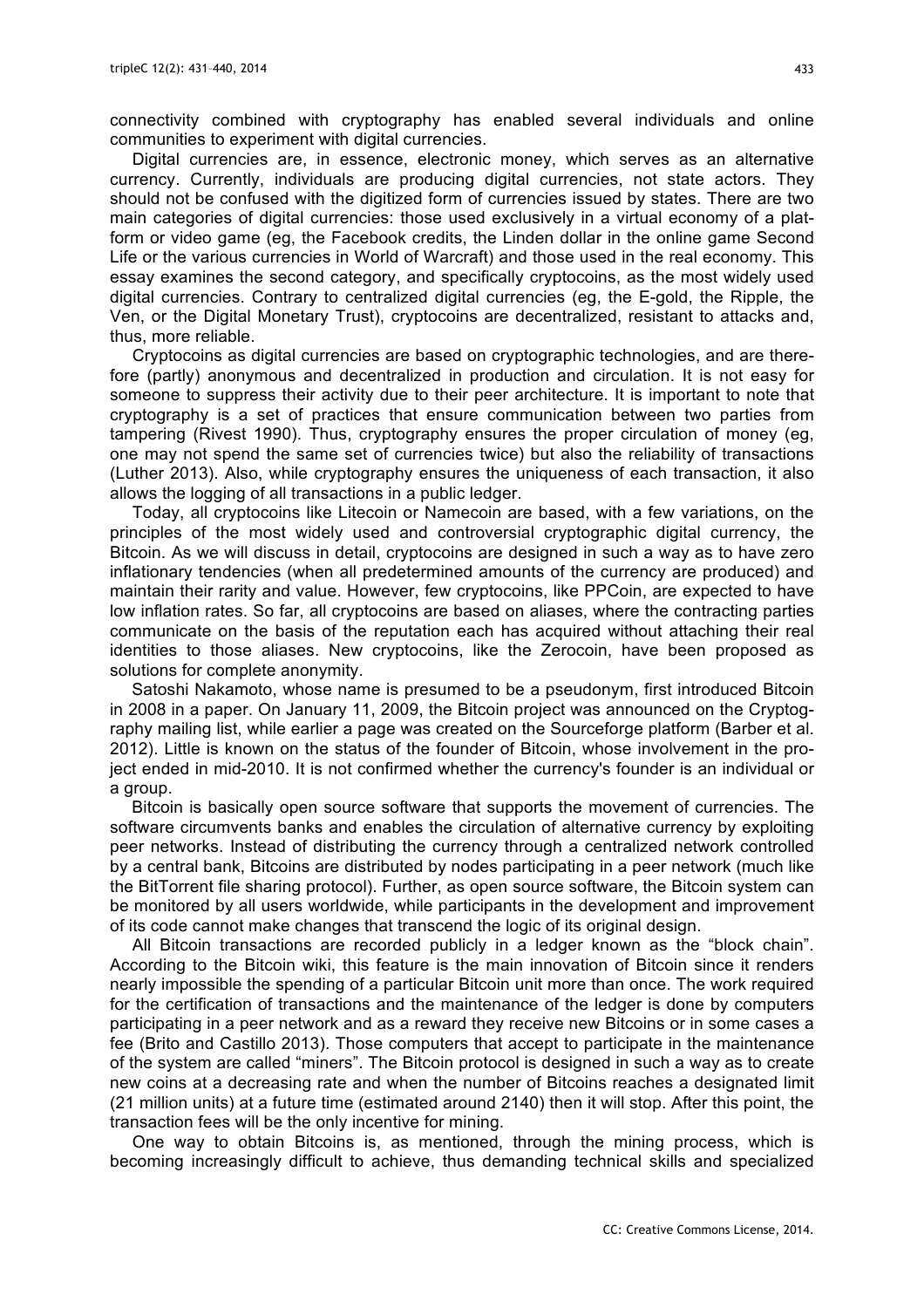connectivity combined with cryptography has enabled several individuals and online communities to experiment with digital currencies.

Digital currencies are, in essence, electronic money, which serves as an alternative currency. Currently, individuals are producing digital currencies, not state actors. They should not be confused with the digitized form of currencies issued by states. There are two main categories of digital currencies: those used exclusively in a virtual economy of a platform or video game (eg, the Facebook credits, the Linden dollar in the online game Second Life or the various currencies in World of Warcraft) and those used in the real economy. This essay examines the second category, and specifically cryptocoins, as the most widely used digital currencies. Contrary to centralized digital currencies (eg, the E-gold, the Ripple, the Ven, or the Digital Monetary Trust), cryptocoins are decentralized, resistant to attacks and, thus, more reliable.

Cryptocoins as digital currencies are based on cryptographic technologies, and are therefore (partly) anonymous and decentralized in production and circulation. It is not easy for someone to suppress their activity due to their peer architecture. It is important to note that cryptography is a set of practices that ensure communication between two parties from tampering (Rivest 1990). Thus, cryptography ensures the proper circulation of money (eg, one may not spend the same set of currencies twice) but also the reliability of transactions (Luther 2013). Also, while cryptography ensures the uniqueness of each transaction, it also allows the logging of all transactions in a public ledger.

Today, all cryptocoins like Litecoin or Namecoin are based, with a few variations, on the principles of the most widely used and controversial cryptographic digital currency, the Bitcoin. As we will discuss in detail, cryptocoins are designed in such a way as to have zero inflationary tendencies (when all predetermined amounts of the currency are produced) and maintain their rarity and value. However, few cryptocoins, like PPCoin, are expected to have low inflation rates. So far, all cryptocoins are based on aliases, where the contracting parties communicate on the basis of the reputation each has acquired without attaching their real identities to those aliases. New cryptocoins, like the Zerocoin, have been proposed as solutions for complete anonymity.

Satoshi Nakamoto, whose name is presumed to be a pseudonym, first introduced Bitcoin in 2008 in a paper. On January 11, 2009, the Bitcoin project was announced on the Cryptography mailing list, while earlier a page was created on the Sourceforge platform (Barber et al. 2012). Little is known on the status of the founder of Bitcoin, whose involvement in the project ended in mid-2010. It is not confirmed whether the currency's founder is an individual or a group.

Bitcoin is basically open source software that supports the movement of currencies. The software circumvents banks and enables the circulation of alternative currency by exploiting peer networks. Instead of distributing the currency through a centralized network controlled by a central bank, Bitcoins are distributed by nodes participating in a peer network (much like the BitTorrent file sharing protocol). Further, as open source software, the Bitcoin system can be monitored by all users worldwide, while participants in the development and improvement of its code cannot make changes that transcend the logic of its original design.

All Bitcoin transactions are recorded publicly in a ledger known as the "block chain". According to the Bitcoin wiki, this feature is the main innovation of Bitcoin since it renders nearly impossible the spending of a particular Bitcoin unit more than once. The work required for the certification of transactions and the maintenance of the ledger is done by computers participating in a peer network and as a reward they receive new Bitcoins or in some cases a fee (Brito and Castillo 2013). Those computers that accept to participate in the maintenance of the system are called "miners". The Bitcoin protocol is designed in such a way as to create new coins at a decreasing rate and when the number of Bitcoins reaches a designated limit (21 million units) at a future time (estimated around 2140) then it will stop. After this point, the transaction fees will be the only incentive for mining.

One way to obtain Bitcoins is, as mentioned, through the mining process, which is becoming increasingly difficult to achieve, thus demanding technical skills and specialized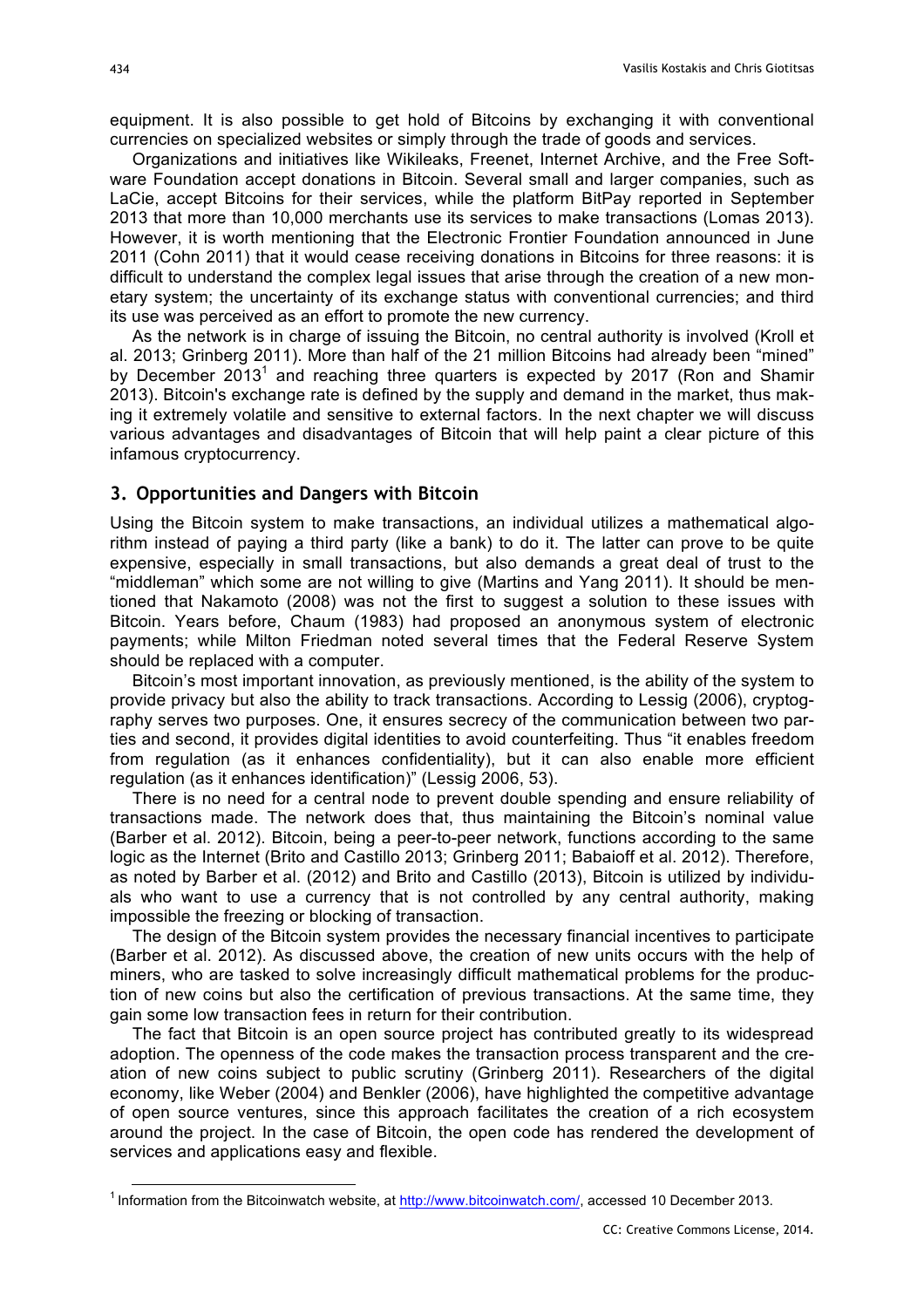equipment. It is also possible to get hold of Bitcoins by exchanging it with conventional currencies on specialized websites or simply through the trade of goods and services.

Organizations and initiatives like Wikileaks, Freenet, Internet Archive, and the Free Software Foundation accept donations in Bitcoin. Several small and larger companies, such as LaCie, accept Bitcoins for their services, while the platform BitPay reported in September 2013 that more than 10,000 merchants use its services to make transactions (Lomas 2013). However, it is worth mentioning that the Electronic Frontier Foundation announced in June 2011 (Cohn 2011) that it would cease receiving donations in Bitcoins for three reasons: it is difficult to understand the complex legal issues that arise through the creation of a new monetary system; the uncertainty of its exchange status with conventional currencies; and third its use was perceived as an effort to promote the new currency.

As the network is in charge of issuing the Bitcoin, no central authority is involved (Kroll et al. 2013; Grinberg 2011). More than half of the 21 million Bitcoins had already been "mined" by December 2013<sup>1</sup> and reaching three quarters is expected by 2017 (Ron and Shamir 2013). Bitcoin's exchange rate is defined by the supply and demand in the market, thus making it extremely volatile and sensitive to external factors. In the next chapter we will discuss various advantages and disadvantages of Bitcoin that will help paint a clear picture of this infamous cryptocurrency.

#### **3. Opportunities and Dangers with Bitcoin**

Using the Bitcoin system to make transactions, an individual utilizes a mathematical algorithm instead of paying a third party (like a bank) to do it. The latter can prove to be quite expensive, especially in small transactions, but also demands a great deal of trust to the "middleman" which some are not willing to give (Martins and Yang 2011). It should be mentioned that Nakamoto (2008) was not the first to suggest a solution to these issues with Bitcoin. Years before, Chaum (1983) had proposed an anonymous system of electronic payments; while Milton Friedman noted several times that the Federal Reserve System should be replaced with a computer.

Bitcoin's most important innovation, as previously mentioned, is the ability of the system to provide privacy but also the ability to track transactions. According to Lessig (2006), cryptography serves two purposes. One, it ensures secrecy of the communication between two parties and second, it provides digital identities to avoid counterfeiting. Thus "it enables freedom from regulation (as it enhances confidentiality), but it can also enable more efficient regulation (as it enhances identification)" (Lessig 2006, 53).

There is no need for a central node to prevent double spending and ensure reliability of transactions made. The network does that, thus maintaining the Bitcoin's nominal value (Barber et al. 2012). Bitcoin, being a peer-to-peer network, functions according to the same logic as the Internet (Brito and Castillo 2013; Grinberg 2011; Babaioff et al. 2012). Therefore, as noted by Barber et al. (2012) and Brito and Castillo (2013), Bitcoin is utilized by individuals who want to use a currency that is not controlled by any central authority, making impossible the freezing or blocking of transaction.

The design of the Bitcoin system provides the necessary financial incentives to participate (Barber et al. 2012). As discussed above, the creation of new units occurs with the help of miners, who are tasked to solve increasingly difficult mathematical problems for the production of new coins but also the certification of previous transactions. At the same time, they gain some low transaction fees in return for their contribution.

The fact that Bitcoin is an open source project has contributed greatly to its widespread adoption. The openness of the code makes the transaction process transparent and the creation of new coins subject to public scrutiny (Grinberg 2011). Researchers of the digital economy, like Weber (2004) and Benkler (2006), have highlighted the competitive advantage of open source ventures, since this approach facilitates the creation of a rich ecosystem around the project. In the case of Bitcoin, the open code has rendered the development of services and applications easy and flexible.

<sup>&</sup>lt;sup>1</sup> Information from the Bitcoinwatch website, at http://www.bitcoinwatch.com/, accessed 10 December 2013.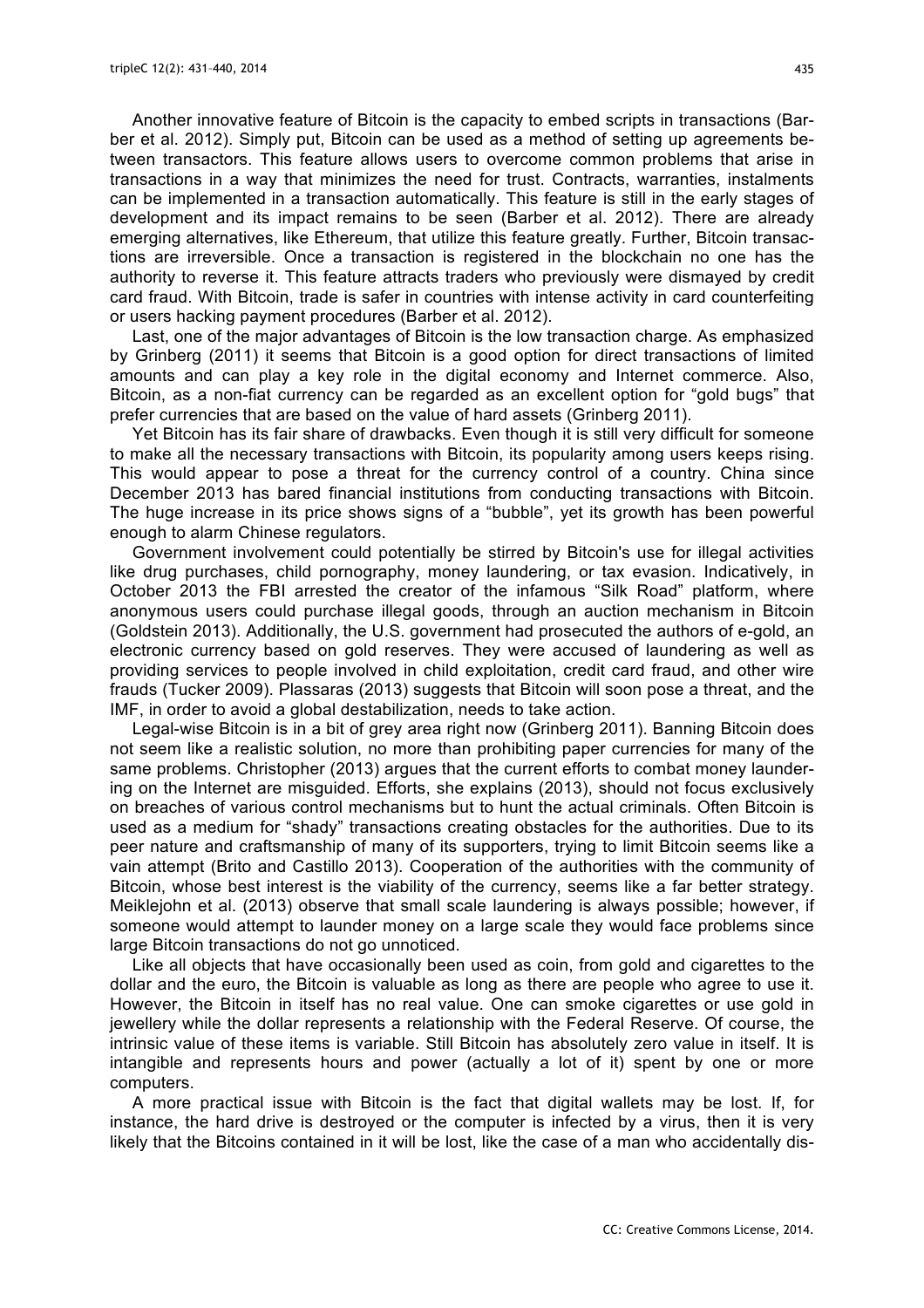Another innovative feature of Bitcoin is the capacity to embed scripts in transactions (Barber et al. 2012). Simply put, Bitcoin can be used as a method of setting up agreements between transactors. This feature allows users to overcome common problems that arise in transactions in a way that minimizes the need for trust. Contracts, warranties, instalments can be implemented in a transaction automatically. This feature is still in the early stages of development and its impact remains to be seen (Barber et al. 2012). There are already emerging alternatives, like Ethereum, that utilize this feature greatly. Further, Bitcoin transactions are irreversible. Once a transaction is registered in the blockchain no one has the authority to reverse it. This feature attracts traders who previously were dismayed by credit card fraud. With Bitcoin, trade is safer in countries with intense activity in card counterfeiting or users hacking payment procedures (Barber et al. 2012).

Last, one of the major advantages of Bitcoin is the low transaction charge. As emphasized by Grinberg (2011) it seems that Bitcoin is a good option for direct transactions of limited amounts and can play a key role in the digital economy and Internet commerce. Also, Bitcoin, as a non-fiat currency can be regarded as an excellent option for "gold bugs" that prefer currencies that are based on the value of hard assets (Grinberg 2011).

Yet Bitcoin has its fair share of drawbacks. Even though it is still very difficult for someone to make all the necessary transactions with Bitcoin, its popularity among users keeps rising. This would appear to pose a threat for the currency control of a country. China since December 2013 has bared financial institutions from conducting transactions with Bitcoin. The huge increase in its price shows signs of a "bubble", yet its growth has been powerful enough to alarm Chinese regulators.

Government involvement could potentially be stirred by Bitcoin's use for illegal activities like drug purchases, child pornography, money laundering, or tax evasion. Indicatively, in October 2013 the FBI arrested the creator of the infamous "Silk Road" platform, where anonymous users could purchase illegal goods, through an auction mechanism in Bitcoin (Goldstein 2013). Additionally, the U.S. government had prosecuted the authors of e-gold, an electronic currency based on gold reserves. They were accused of laundering as well as providing services to people involved in child exploitation, credit card fraud, and other wire frauds (Tucker 2009). Plassaras (2013) suggests that Bitcoin will soon pose a threat, and the IMF, in order to avoid a global destabilization, needs to take action.

Legal-wise Bitcoin is in a bit of grey area right now (Grinberg 2011). Banning Bitcoin does not seem like a realistic solution, no more than prohibiting paper currencies for many of the same problems. Christopher (2013) argues that the current efforts to combat money laundering on the Internet are misguided. Efforts, she explains (2013), should not focus exclusively on breaches of various control mechanisms but to hunt the actual criminals. Often Bitcoin is used as a medium for "shady" transactions creating obstacles for the authorities. Due to its peer nature and craftsmanship of many of its supporters, trying to limit Bitcoin seems like a vain attempt (Brito and Castillo 2013). Cooperation of the authorities with the community of Bitcoin, whose best interest is the viability of the currency, seems like a far better strategy. Meiklejohn et al. (2013) observe that small scale laundering is always possible; however, if someone would attempt to launder money on a large scale they would face problems since large Bitcoin transactions do not go unnoticed.

Like all objects that have occasionally been used as coin, from gold and cigarettes to the dollar and the euro, the Bitcoin is valuable as long as there are people who agree to use it. However, the Bitcoin in itself has no real value. One can smoke cigarettes or use gold in jewellery while the dollar represents a relationship with the Federal Reserve. Of course, the intrinsic value of these items is variable. Still Bitcoin has absolutely zero value in itself. It is intangible and represents hours and power (actually a lot of it) spent by one or more computers.

A more practical issue with Bitcoin is the fact that digital wallets may be lost. If, for instance, the hard drive is destroyed or the computer is infected by a virus, then it is very likely that the Bitcoins contained in it will be lost, like the case of a man who accidentally dis-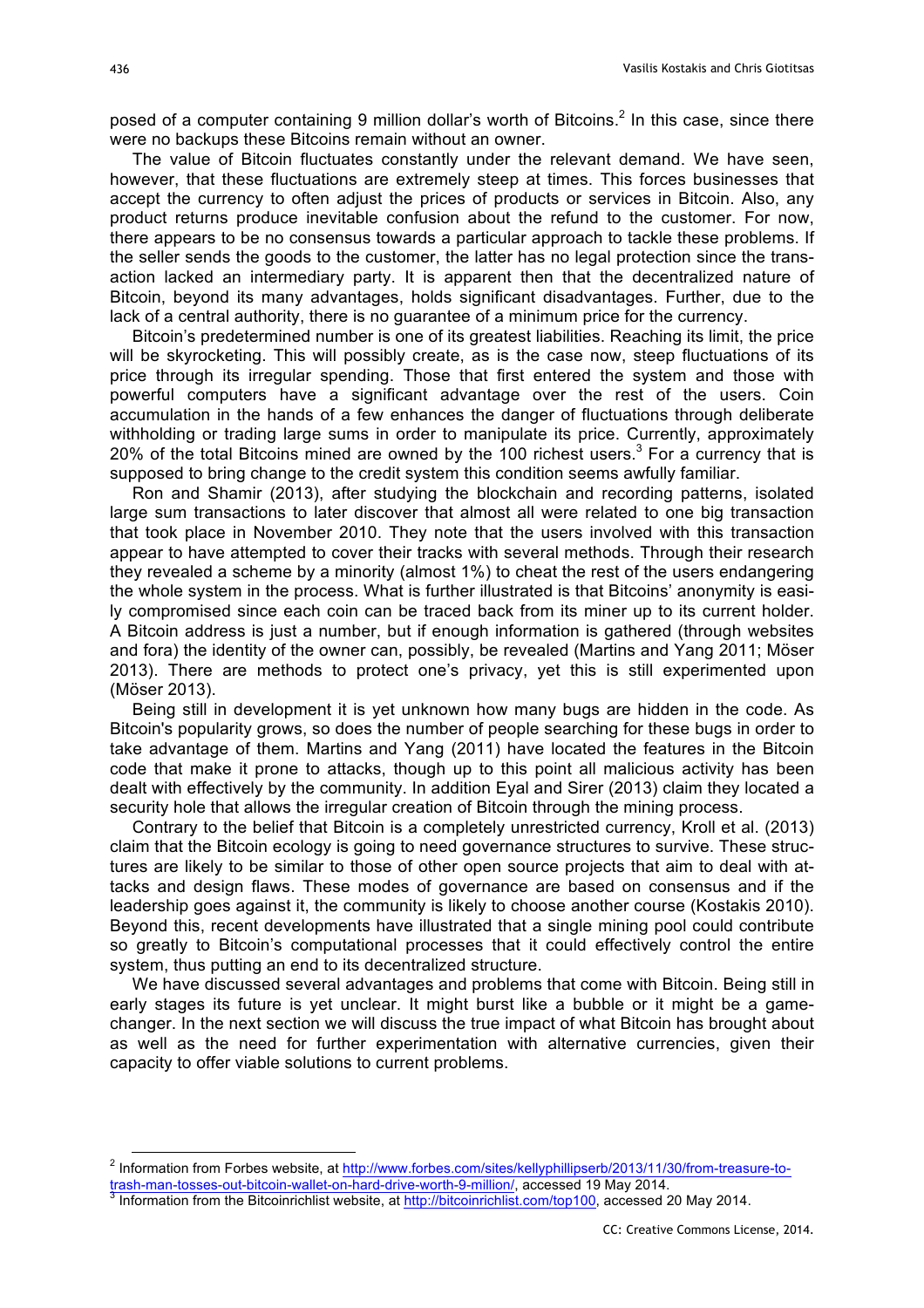posed of a computer containing 9 million dollar's worth of Bitcoins.<sup>2</sup> In this case, since there were no backups these Bitcoins remain without an owner.

The value of Bitcoin fluctuates constantly under the relevant demand. We have seen, however, that these fluctuations are extremely steep at times. This forces businesses that accept the currency to often adjust the prices of products or services in Bitcoin. Also, any product returns produce inevitable confusion about the refund to the customer. For now, there appears to be no consensus towards a particular approach to tackle these problems. If the seller sends the goods to the customer, the latter has no legal protection since the transaction lacked an intermediary party. It is apparent then that the decentralized nature of Bitcoin, beyond its many advantages, holds significant disadvantages. Further, due to the lack of a central authority, there is no guarantee of a minimum price for the currency.

Bitcoin's predetermined number is one of its greatest liabilities. Reaching its limit, the price will be skyrocketing. This will possibly create, as is the case now, steep fluctuations of its price through its irregular spending. Those that first entered the system and those with powerful computers have a significant advantage over the rest of the users. Coin accumulation in the hands of a few enhances the danger of fluctuations through deliberate withholding or trading large sums in order to manipulate its price. Currently, approximately 20% of the total Bitcoins mined are owned by the 100 richest users.<sup>3</sup> For a currency that is supposed to bring change to the credit system this condition seems awfully familiar.

Ron and Shamir (2013), after studying the blockchain and recording patterns, isolated large sum transactions to later discover that almost all were related to one big transaction that took place in November 2010. They note that the users involved with this transaction appear to have attempted to cover their tracks with several methods. Through their research they revealed a scheme by a minority (almost 1%) to cheat the rest of the users endangering the whole system in the process. What is further illustrated is that Bitcoins' anonymity is easily compromised since each coin can be traced back from its miner up to its current holder. A Bitcoin address is just a number, but if enough information is gathered (through websites and fora) the identity of the owner can, possibly, be revealed (Martins and Yang 2011; Möser 2013). There are methods to protect one's privacy, yet this is still experimented upon (Möser 2013).

Being still in development it is yet unknown how many bugs are hidden in the code. As Bitcoin's popularity grows, so does the number of people searching for these bugs in order to take advantage of them. Martins and Yang (2011) have located the features in the Bitcoin code that make it prone to attacks, though up to this point all malicious activity has been dealt with effectively by the community. In addition Eyal and Sirer (2013) claim they located a security hole that allows the irregular creation of Bitcoin through the mining process.

Contrary to the belief that Bitcoin is a completely unrestricted currency, Kroll et al. (2013) claim that the Bitcoin ecology is going to need governance structures to survive. These structures are likely to be similar to those of other open source projects that aim to deal with attacks and design flaws. These modes of governance are based on consensus and if the leadership goes against it, the community is likely to choose another course (Kostakis 2010). Beyond this, recent developments have illustrated that a single mining pool could contribute so greatly to Bitcoin's computational processes that it could effectively control the entire system, thus putting an end to its decentralized structure.

We have discussed several advantages and problems that come with Bitcoin. Being still in early stages its future is yet unclear. It might burst like a bubble or it might be a gamechanger. In the next section we will discuss the true impact of what Bitcoin has brought about as well as the need for further experimentation with alternative currencies, given their capacity to offer viable solutions to current problems.

<sup>&</sup>lt;sup>2</sup> Information from Forbes website, at http://www.forbes.com/sites/kellyphillipserb/2013/11/30/from-treasure-to-<br>trash-man-tosses-out-bitcoin-wallet-on-hard-drive-worth-9-million/, accessed 19 May 2014.

 $3$  Information from the Bitcoinrichlist website, at http://bitcoinrichlist.com/top100, accessed 20 May 2014.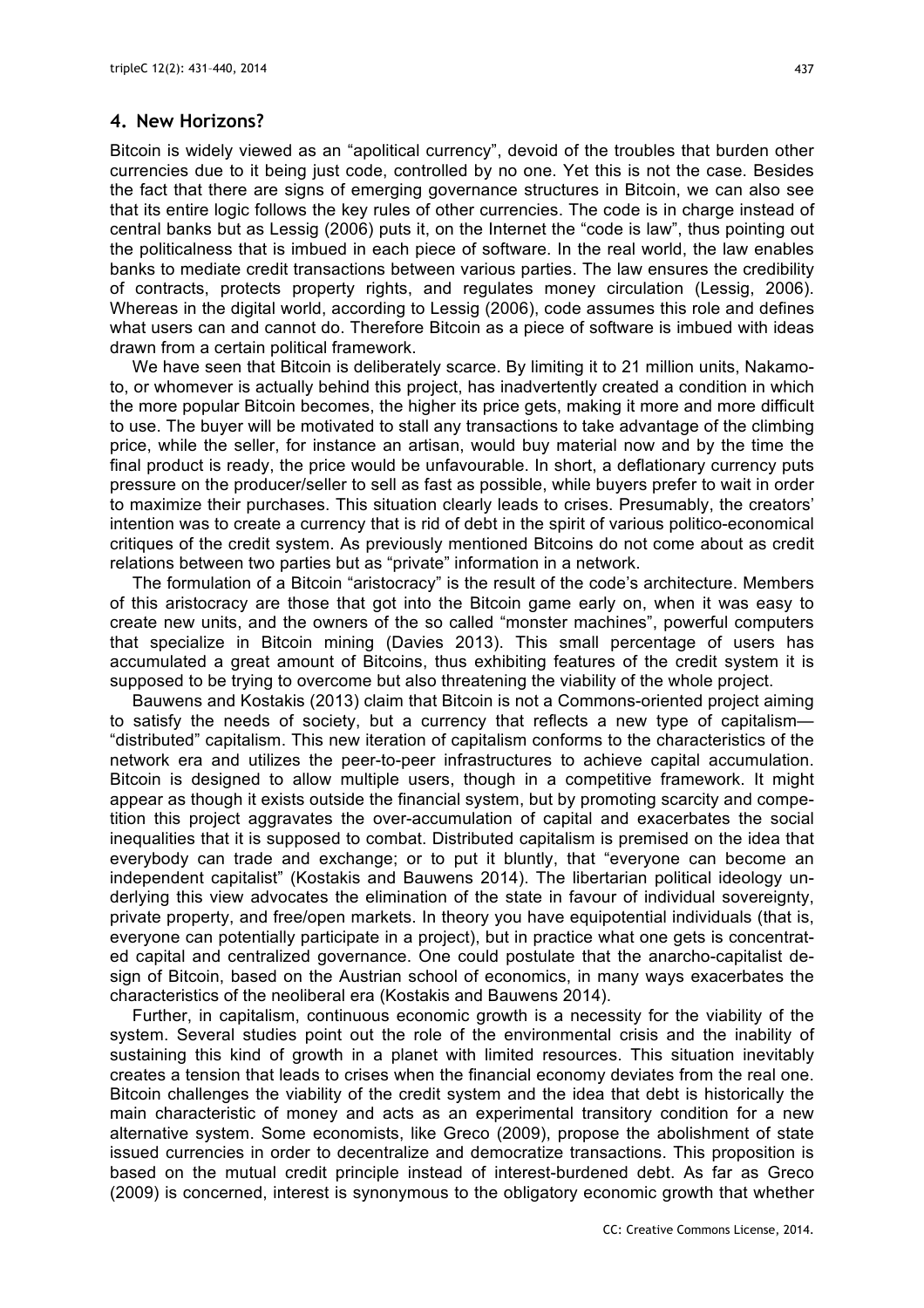## **4. New Horizons?**

Bitcoin is widely viewed as an "apolitical currency", devoid of the troubles that burden other currencies due to it being just code, controlled by no one. Yet this is not the case. Besides the fact that there are signs of emerging governance structures in Bitcoin, we can also see that its entire logic follows the key rules of other currencies. The code is in charge instead of central banks but as Lessig (2006) puts it, on the Internet the "code is law", thus pointing out the politicalness that is imbued in each piece of software. In the real world, the law enables banks to mediate credit transactions between various parties. The law ensures the credibility of contracts, protects property rights, and regulates money circulation (Lessig, 2006). Whereas in the digital world, according to Lessig (2006), code assumes this role and defines what users can and cannot do. Therefore Bitcoin as a piece of software is imbued with ideas drawn from a certain political framework.

We have seen that Bitcoin is deliberately scarce. By limiting it to 21 million units, Nakamoto, or whomever is actually behind this project, has inadvertently created a condition in which the more popular Bitcoin becomes, the higher its price gets, making it more and more difficult to use. The buyer will be motivated to stall any transactions to take advantage of the climbing price, while the seller, for instance an artisan, would buy material now and by the time the final product is ready, the price would be unfavourable. In short, a deflationary currency puts pressure on the producer/seller to sell as fast as possible, while buyers prefer to wait in order to maximize their purchases. This situation clearly leads to crises. Presumably, the creators' intention was to create a currency that is rid of debt in the spirit of various politico-economical critiques of the credit system. As previously mentioned Bitcoins do not come about as credit relations between two parties but as "private" information in a network.

The formulation of a Bitcoin "aristocracy" is the result of the code's architecture. Members of this aristocracy are those that got into the Bitcoin game early on, when it was easy to create new units, and the owners of the so called "monster machines", powerful computers that specialize in Bitcoin mining (Davies 2013). This small percentage of users has accumulated a great amount of Bitcoins, thus exhibiting features of the credit system it is supposed to be trying to overcome but also threatening the viability of the whole project.

Bauwens and Kostakis (2013) claim that Bitcoin is not a Commons-oriented project aiming to satisfy the needs of society, but a currency that reflects a new type of capitalism— "distributed" capitalism. This new iteration of capitalism conforms to the characteristics of the network era and utilizes the peer-to-peer infrastructures to achieve capital accumulation. Bitcoin is designed to allow multiple users, though in a competitive framework. It might appear as though it exists outside the financial system, but by promoting scarcity and competition this project aggravates the over-accumulation of capital and exacerbates the social inequalities that it is supposed to combat. Distributed capitalism is premised on the idea that everybody can trade and exchange; or to put it bluntly, that "everyone can become an independent capitalist" (Kostakis and Bauwens 2014). The libertarian political ideology underlying this view advocates the elimination of the state in favour of individual sovereignty, private property, and free/open markets. In theory you have equipotential individuals (that is, everyone can potentially participate in a project), but in practice what one gets is concentrated capital and centralized governance. One could postulate that the anarcho-capitalist design of Bitcoin, based on the Austrian school of economics, in many ways exacerbates the characteristics of the neoliberal era (Kostakis and Bauwens 2014).

Further, in capitalism, continuous economic growth is a necessity for the viability of the system. Several studies point out the role of the environmental crisis and the inability of sustaining this kind of growth in a planet with limited resources. This situation inevitably creates a tension that leads to crises when the financial economy deviates from the real one. Bitcoin challenges the viability of the credit system and the idea that debt is historically the main characteristic of money and acts as an experimental transitory condition for a new alternative system. Some economists, like Greco (2009), propose the abolishment of state issued currencies in order to decentralize and democratize transactions. This proposition is based on the mutual credit principle instead of interest-burdened debt. As far as Greco (2009) is concerned, interest is synonymous to the obligatory economic growth that whether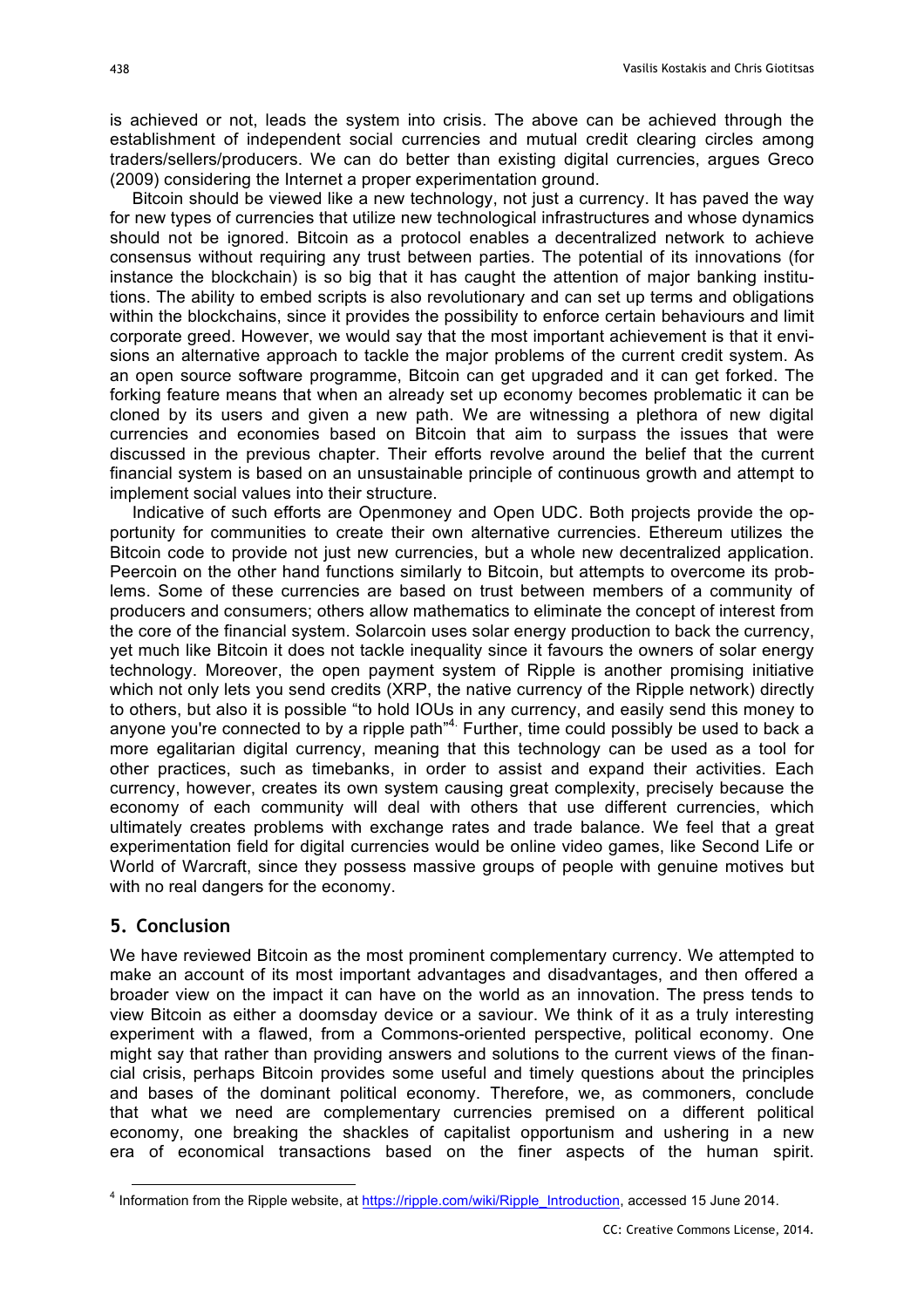is achieved or not, leads the system into crisis. The above can be achieved through the establishment of independent social currencies and mutual credit clearing circles among traders/sellers/producers. We can do better than existing digital currencies, argues Greco (2009) considering the Internet a proper experimentation ground.

Bitcoin should be viewed like a new technology, not just a currency. It has paved the way for new types of currencies that utilize new technological infrastructures and whose dynamics should not be ignored. Bitcoin as a protocol enables a decentralized network to achieve consensus without requiring any trust between parties. The potential of its innovations (for instance the blockchain) is so big that it has caught the attention of major banking institutions. The ability to embed scripts is also revolutionary and can set up terms and obligations within the blockchains, since it provides the possibility to enforce certain behaviours and limit corporate greed. However, we would say that the most important achievement is that it envisions an alternative approach to tackle the major problems of the current credit system. As an open source software programme, Bitcoin can get upgraded and it can get forked. The forking feature means that when an already set up economy becomes problematic it can be cloned by its users and given a new path. We are witnessing a plethora of new digital currencies and economies based on Bitcoin that aim to surpass the issues that were discussed in the previous chapter. Their efforts revolve around the belief that the current financial system is based on an unsustainable principle of continuous growth and attempt to implement social values into their structure.

Indicative of such efforts are Openmoney and Open UDC. Both projects provide the opportunity for communities to create their own alternative currencies. Ethereum utilizes the Bitcoin code to provide not just new currencies, but a whole new decentralized application. Peercoin on the other hand functions similarly to Bitcoin, but attempts to overcome its problems. Some of these currencies are based on trust between members of a community of producers and consumers; others allow mathematics to eliminate the concept of interest from the core of the financial system. Solarcoin uses solar energy production to back the currency, yet much like Bitcoin it does not tackle inequality since it favours the owners of solar energy technology. Moreover, the open payment system of Ripple is another promising initiative which not only lets you send credits (XRP, the native currency of the Ripple network) directly to others, but also it is possible "to hold IOUs in any currency, and easily send this money to anyone you're connected to by a ripple path<sup>"4</sup>. Further, time could possibly be used to back a more egalitarian digital currency, meaning that this technology can be used as a tool for other practices, such as timebanks, in order to assist and expand their activities. Each currency, however, creates its own system causing great complexity, precisely because the economy of each community will deal with others that use different currencies, which ultimately creates problems with exchange rates and trade balance. We feel that a great experimentation field for digital currencies would be online video games, like Second Life or World of Warcraft, since they possess massive groups of people with genuine motives but with no real dangers for the economy.

# **5. Conclusion**

We have reviewed Bitcoin as the most prominent complementary currency. We attempted to make an account of its most important advantages and disadvantages, and then offered a broader view on the impact it can have on the world as an innovation. The press tends to view Bitcoin as either a doomsday device or a saviour. We think of it as a truly interesting experiment with a flawed, from a Commons-oriented perspective, political economy. One might say that rather than providing answers and solutions to the current views of the financial crisis, perhaps Bitcoin provides some useful and timely questions about the principles and bases of the dominant political economy. Therefore, we, as commoners, conclude that what we need are complementary currencies premised on a different political economy, one breaking the shackles of capitalist opportunism and ushering in a new era of economical transactions based on the finer aspects of the human spirit.

 <sup>4</sup> Information from the Ripple website, at https://ripple.com/wiki/Ripple\_Introduction, accessed 15 June 2014.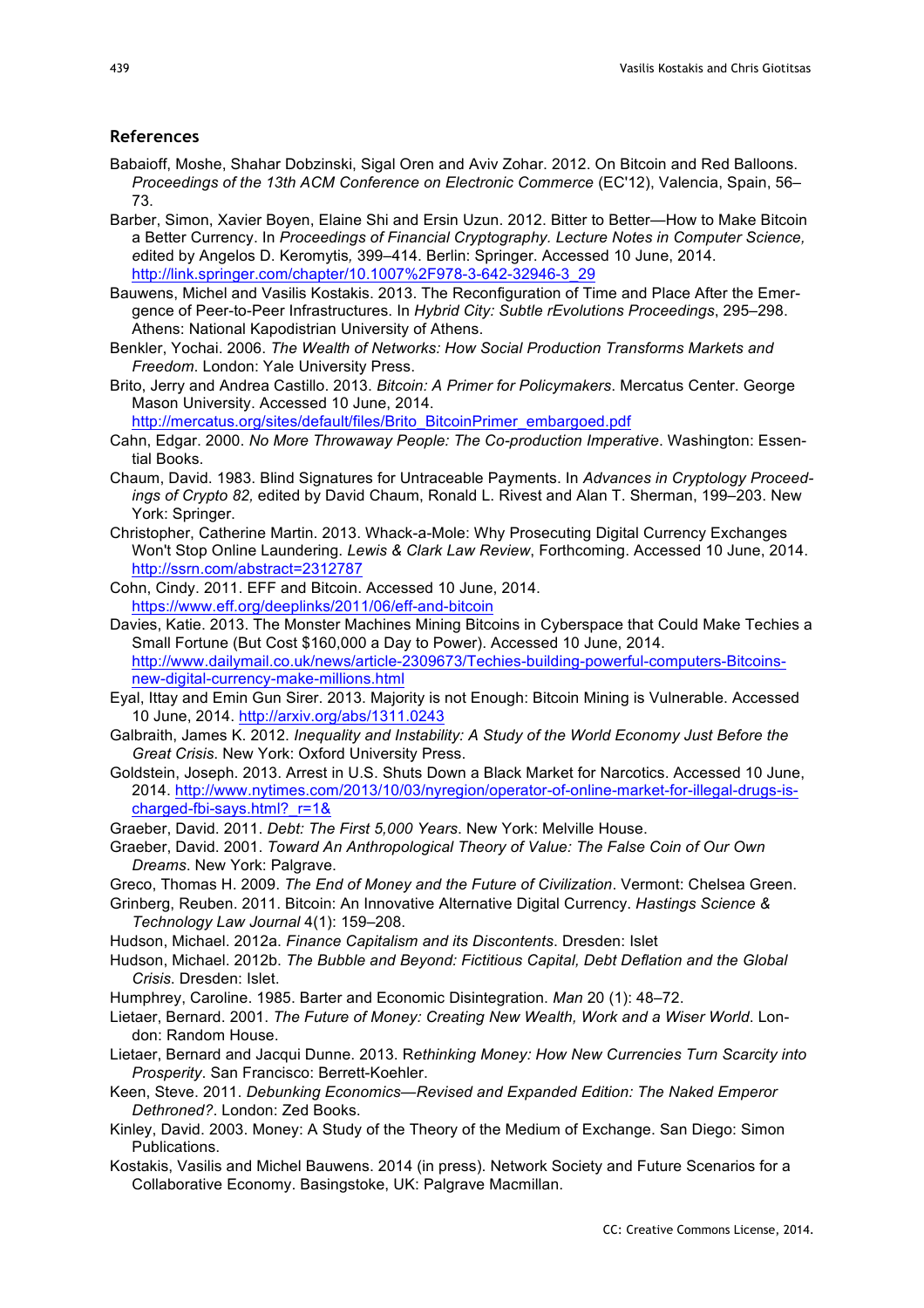#### **References**

- Babaioff, Moshe, Shahar Dobzinski, Sigal Oren and Aviv Zohar. 2012. On Bitcoin and Red Balloons. *Proceedings of the 13th ACM Conference on Electronic Commerce* (EC'12), Valencia, Spain, 56– 73.
- Barber, Simon, Xavier Boyen, Elaine Shi and Ersin Uzun. 2012. Bitter to Better—How to Make Bitcoin a Better Currency. In *Proceedings of Financial Cryptography. Lecture Notes in Computer Science, e*dited by Angelos D. Keromytis*,* 399–414. Berlin: Springer. Accessed 10 June, 2014. http://link.springer.com/chapter/10.1007%2F978-3-642-32946-3\_29
- Bauwens, Michel and Vasilis Kostakis. 2013. The Reconfiguration of Time and Place After the Emergence of Peer-to-Peer Infrastructures. In *Hybrid City: Subtle rEvolutions Proceedings*, 295–298. Athens: National Kapodistrian University of Athens.
- Benkler, Yochai. 2006. *The Wealth of Networks: How Social Production Transforms Markets and Freedom*. London: Yale University Press.
- Brito, Jerry and Andrea Castillo. 2013. *Bitcoin: A Primer for Policymakers*. Mercatus Center. George Mason University. Accessed 10 June, 2014.

http://mercatus.org/sites/default/files/Brito\_BitcoinPrimer\_embargoed.pdf

- Cahn, Edgar. 2000. *No More Throwaway People: The Co-production Imperative*. Washington: Essential Books.
- Chaum, David. 1983. Blind Signatures for Untraceable Payments. In *Advances in Cryptology Proceedings of Crypto 82,* edited by David Chaum, Ronald L. Rivest and Alan T. Sherman, 199–203. New York: Springer.
- Christopher, Catherine Martin. 2013. Whack-a-Mole: Why Prosecuting Digital Currency Exchanges Won't Stop Online Laundering. *Lewis & Clark Law Review*, Forthcoming. Accessed 10 June, 2014. http://ssrn.com/abstract=2312787
- Cohn, Cindy. 2011. EFF and Bitcoin. Αccessed 10 June, 2014. https://www.eff.org/deeplinks/2011/06/eff-and-bitcoin
- Davies, Katie. 2013. The Monster Machines Mining Bitcoins in Cyberspace that Could Make Techies a Small Fortune (But Cost \$160,000 a Day to Power). Accessed 10 June, 2014. http://www.dailymail.co.uk/news/article-2309673/Techies-building-powerful-computers-Bitcoinsnew-digital-currency-make-millions.html
- Eyal, Ittay and Emin Gun Sirer. 2013. Majority is not Enough: Bitcoin Mining is Vulnerable. Accessed 10 June, 2014. http://arxiv.org/abs/1311.0243
- Galbraith, James K. 2012. *Inequality and Instability: A Study of the World Economy Just Before the Great Crisis*. New York: Oxford University Press.
- Goldstein, Joseph. 2013. Arrest in U.S. Shuts Down a Black Market for Narcotics. Accessed 10 June, 2014. http://www.nytimes.com/2013/10/03/nyregion/operator-of-online-market-for-illegal-drugs-ischarged-fbi-says.html?\_r=1&
- Graeber, David. 2011. *Debt: The First 5,000 Years*. New York: Melville House.
- Graeber, David. 2001. *Toward An Anthropological Theory of Value: The False Coin of Our Own Dreams*. New York: Palgrave.
- Greco, Thomas H. 2009. *The End of Money and the Future of Civilization*. Vermont: Chelsea Green.
- Grinberg, Reuben. 2011. Bitcoin: An Innovative Alternative Digital Currency. *Hastings Science & Technology Law Journal* 4(1): 159–208.
- Hudson, Michael. 2012a. *Finance Capitalism and its Discontents*. Dresden: Islet
- Hudson, Michael. 2012b. *The Bubble and Beyond: Fictitious Capital, Debt Deflation and the Global Crisis*. Dresden: Islet.
- Humphrey, Caroline. 1985. Barter and Economic Disintegration. *Man* 20 (1): 48–72.
- Lietaer, Bernard. 2001. *The Future of Money: Creating New Wealth, Work and a Wiser World*. London: Random House.
- Lietaer, Bernard and Jacqui Dunne. 2013. R*ethinking Money: How New Currencies Turn Scarcity into Prosperity*. San Francisco: Berrett-Koehler.
- Keen, Steve. 2011. *Debunking Economics—Revised and Expanded Edition: The Naked Emperor Dethroned?*. London: Zed Books.
- Kinley, David. 2003. Money: A Study of the Theory of the Medium of Exchange. San Diego: Simon Publications.
- Kostakis, Vasilis and Michel Bauwens. 2014 (in press). Network Society and Future Scenarios for a Collaborative Economy. Basingstoke, UK: Palgrave Macmillan.